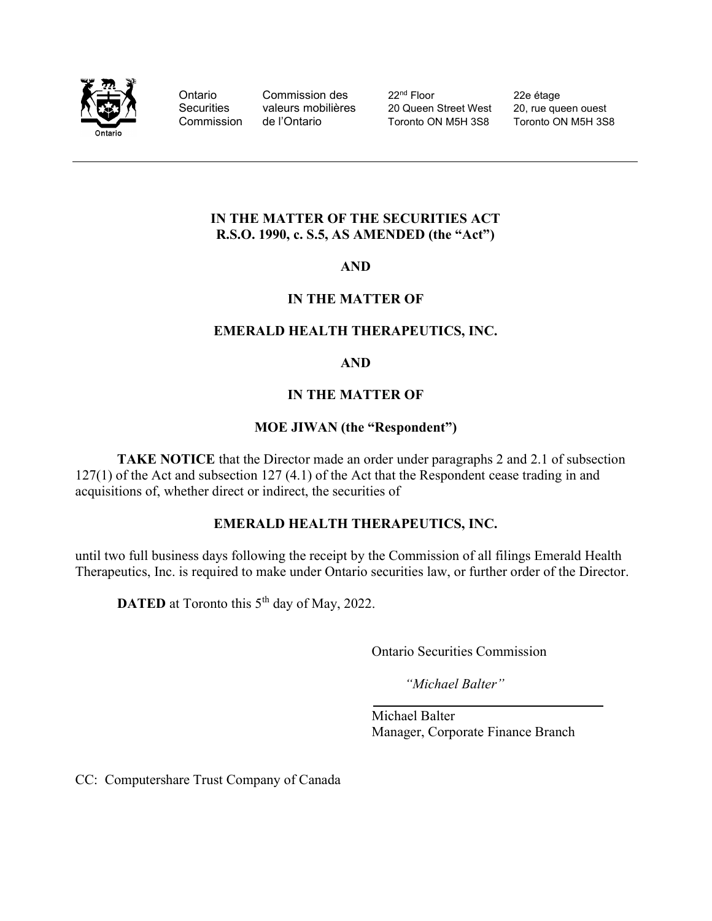

Ontario Commission des 22<sup>nd</sup> Floor 22e étage Securities valeurs mobilières 20 Queen Street West 20, rue queen ouest<br>Commission de l'Ontario Toronto ON M5H 3S8 Toronto ON M5H 3S8 Commission de l'Ontario Toronto ON M5H 3S8

### IN THE MATTER OF THE SECURITIES ACT R.S.O. 1990, c. S.5, AS AMENDED (the "Act")

AND

### IN THE MATTER OF

### EMERALD HEALTH THERAPEUTICS, INC.

#### AND

### IN THE MATTER OF

### MOE JIWAN (the "Respondent")

TAKE NOTICE that the Director made an order under paragraphs 2 and 2.1 of subsection 127(1) of the Act and subsection 127 (4.1) of the Act that the Respondent cease trading in and acquisitions of, whether direct or indirect, the securities of

### EMERALD HEALTH THERAPEUTICS, INC.

until two full business days following the receipt by the Commission of all filings Emerald Health Therapeutics, Inc. is required to make under Ontario securities law, or further order of the Director.

**DATED** at Toronto this  $5<sup>th</sup>$  day of May, 2022.

Ontario Securities Commission

"Michael Balter"

 Michael Balter Manager, Corporate Finance Branch

CC: Computershare Trust Company of Canada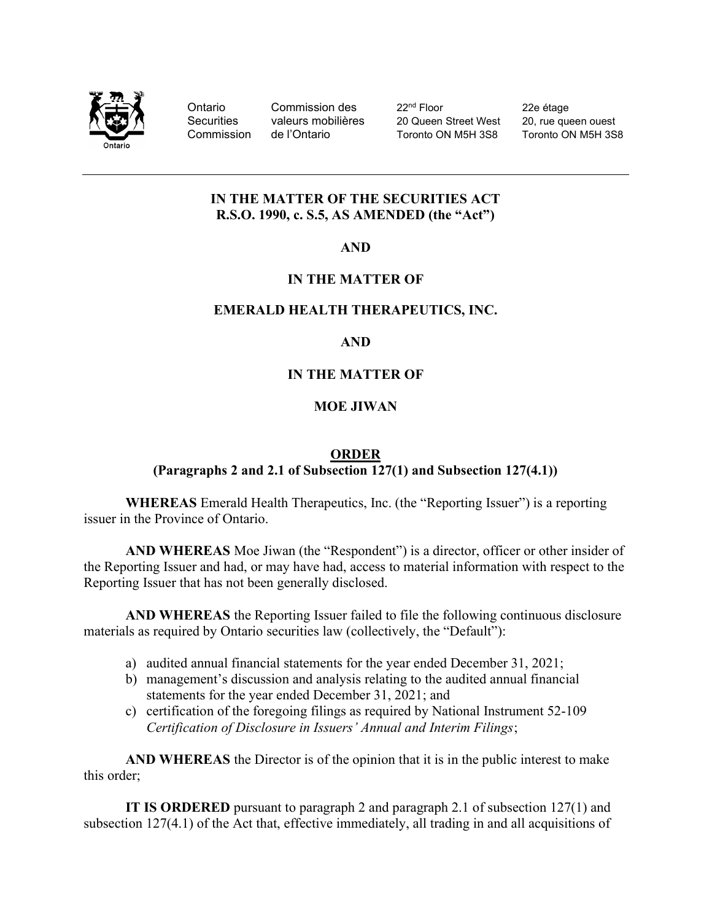

Ontario Commission des 22<sup>nd</sup> Floor 22e étage<br>Securities valeurs mobilières 20 Queen Street West 20, rue que Securities valeurs mobilières 20 Queen Street West 20, rue queen ouest Commission de l'Ontario Toronto ON M5H 3S8 Toronto ON M5H 3S8

## IN THE MATTER OF THE SECURITIES ACT R.S.O. 1990, c. S.5, AS AMENDED (the "Act")

AND

# IN THE MATTER OF

# EMERALD HEALTH THERAPEUTICS, INC.

### AND

# IN THE MATTER OF

# MOE JIWAN

#### ORDER

### (Paragraphs 2 and 2.1 of Subsection 127(1) and Subsection 127(4.1))

WHEREAS Emerald Health Therapeutics, Inc. (the "Reporting Issuer") is a reporting issuer in the Province of Ontario.

AND WHEREAS Moe Jiwan (the "Respondent") is a director, officer or other insider of the Reporting Issuer and had, or may have had, access to material information with respect to the Reporting Issuer that has not been generally disclosed.

AND WHEREAS the Reporting Issuer failed to file the following continuous disclosure materials as required by Ontario securities law (collectively, the "Default"):

- a) audited annual financial statements for the year ended December 31, 2021;
- b) management's discussion and analysis relating to the audited annual financial statements for the year ended December 31, 2021; and
- c) certification of the foregoing filings as required by National Instrument 52-109 Certification of Disclosure in Issuers' Annual and Interim Filings;

AND WHEREAS the Director is of the opinion that it is in the public interest to make this order;

 IT IS ORDERED pursuant to paragraph 2 and paragraph 2.1 of subsection 127(1) and subsection 127(4.1) of the Act that, effective immediately, all trading in and all acquisitions of